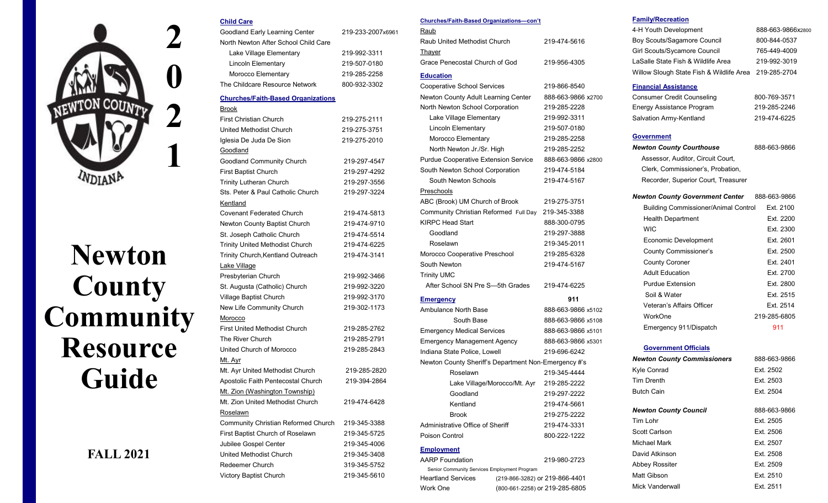

# **Newton County Community Resource Guide**

# **FALL 2021**

| Goodland Early Learning Center            | 219-233-2007x6961 |
|-------------------------------------------|-------------------|
| North Newton After School Child Care      |                   |
| Lake Village Elementary                   | 219-992-3311      |
| <b>Lincoln Elementary</b>                 | 219-507-0180      |
| Morocco Elementary                        | 219-285-2258      |
| The Childcare Resource Network            | 800-932-3302      |
| <b>Churches/Faith-Based Organizations</b> |                   |
| <b>Brook</b>                              |                   |
| <b>First Christian Church</b>             | 219-275-2111      |
| <b>United Methodist Church</b>            | 219-275-3751      |
| Iglesia De Juda De Sion                   | 219-275-2010      |
| Goodland                                  |                   |
| Goodland Community Church                 | 219-297-4547      |
| First Baptist Church                      | 219-297-4292      |
| <b>Trinity Lutheran Church</b>            | 219-297-3556      |
| Sts. Peter & Paul Catholic Church         | 219-297-3224      |
| Kentland                                  |                   |
| <b>Covenant Federated Church</b>          | 219-474-5813      |
| Newton County Baptist Church              | 219-474-9710      |
| St. Joseph Catholic Church                | 219-474-5514      |
| Trinity United Methodist Church           | 219-474-6225      |
| Trinity Church, Kentland Outreach         | 219-474-3141      |
| Lake Village                              |                   |
| Presbyterian Church                       | 219-992-3466      |
| St. Augusta (Catholic) Church             | 219-992-3220      |
| Village Baptist Church                    | 219-992-3170      |
| New Life Community Church                 | 219-302-1173      |
| Morocco                                   |                   |
| <b>First United Methodist Church</b>      | 219-285-2762      |
| The River Church                          | 219-285-2791      |
| United Church of Morocco                  | 219-285-2843      |
| Mt. Ayr                                   |                   |
| Mt. Ayr United Methodist Church           | 219-285-2820      |
| Apostolic Faith Pentecostal Church        | 219-394-2864      |
| Mt. Zion (Washington Township)            |                   |
| Mt. Zion United Methodist Church          | 219-474-6428      |
| Roselawn                                  |                   |
| Community Christian Reformed Church       | 219-345-3388      |
| First Baptist Church of Roselawn          | 219-345-5725      |
| Jubilee Gospel Center                     | 219-345-4006      |
| United Methodist Church                   | 219-345-3408      |
| Redeemer Church                           | 319-345-5752      |
| Victory Baptist Church                    | 219-345-5610      |
|                                           |                   |

**Child Care**

#### **Churches/Faith-Based Organizations—con't**

| Raub                           |              |
|--------------------------------|--------------|
| Raub United Methodist Church   | 219-474-5616 |
| Thayer                         |              |
| Grace Penecostal Church of God | 219-956-4305 |
|                                |              |

#### **Education**

| <b>Cooperative School Services</b>                   | 219-866-8540       |
|------------------------------------------------------|--------------------|
| Newton County Adult Learning Center                  | 888-663-9866 x2700 |
| North Newton School Corporation                      | 219-285-2228       |
| Lake Village Elementary                              | 219-992-3311       |
| <b>Lincoln Elementary</b>                            | 219-507-0180       |
| Morocco Elementary                                   | 219-285-2258       |
| North Newton Jr./Sr. High                            | 219-285-2252       |
| <b>Purdue Cooperative Extension Service</b>          | 888-663-9866 x2800 |
| South Newton School Corporation                      | 219-474-5184       |
| South Newton Schools                                 | 219-474-5167       |
| Preschools                                           |                    |
| ABC (Brook) UM Church of Brook                       | 219-275-3751       |
| Community Christian Reformed Full Day                | 219-345-3388       |
| <b>KIRPC Head Start</b>                              | 888-300-0795       |
| Goodland                                             | 219-297-3888       |
| Roselawn                                             | 219-345-2011       |
| Morocco Cooperative Preschool                        | 219-285-6328       |
| South Newton                                         | 219-474-5167       |
| <b>Trinity UMC</b>                                   |                    |
| After School SN Pre S-5th Grades                     | 219-474-6225       |
| <b>Emergency</b>                                     | 911                |
| Ambulance North Base                                 | 888-663-9866 x5102 |
| South Base                                           | 888-663-9866 x5108 |
| <b>Emergency Medical Services</b>                    | 888-663-9866 x5101 |
| <b>Emergency Management Agency</b>                   | 888-663-9866 x5301 |
| Indiana State Police, Lowell                         | 219-696-6242       |
| Newton County Sheriff's Department Non-Emergency #'s |                    |
| Roselawn                                             | 219-345-4444       |
| Lake Village/Morocco/Mt. Ayr                         | 219-285-2222       |
| Goodland                                             | 219-297-2222       |
| Kentland                                             | 219-474-5661       |
| <b>Brook</b>                                         | 219-275-2222       |
| Administrative Office of Sheriff                     | 219-474-3331       |

#### **Employment**

| <b>AARP</b> Foundation                       | 219-980-2723                   |
|----------------------------------------------|--------------------------------|
| Senior Community Services Employment Program |                                |
| <b>Heartland Services</b>                    | (219-866-3282) or 219-866-4401 |
| Work One                                     | (800-661-2258) or 219-285-6805 |

Poison Control 600-222-1222

#### **Family/Recreation**

| 4-H Youth Development                                 | 888-663-9866x2800 |
|-------------------------------------------------------|-------------------|
| Boy Scouts/Sagamore Council                           | 800-844-0537      |
| Girl Scouts/Sycamore Council                          | 765-449-4009      |
| LaSalle State Fish & Wildlife Area                    | 219-992-3019      |
| Willow Slough State Fish & Wildlife Area 219-285-2704 |                   |

#### **Financial Assistance**

| <b>Consumer Credit Counseling</b> | 800-769-3571 |
|-----------------------------------|--------------|
| Energy Assistance Program         | 219-285-2246 |
| Salvation Army-Kentland           | 219-474-6225 |

#### **Government**

*Newton County Courthouse*888-663-9866

 Assessor, Auditor, Circuit Court, Clerk, Commissioner's, Probation, Recorder, Superior Court, Treasurer

| Newton County Government Center 888-663-9866 |              |
|----------------------------------------------|--------------|
| <b>Building Commissioner/Animal Control</b>  | Fxt 2100     |
| <b>Health Department</b>                     | Fxt 2200     |
| <b>WIC</b>                                   | Ext. 2300    |
| Economic Development                         | Ext. 2601    |
| <b>County Commissioner's</b>                 | Ext. 2500    |
| <b>County Coroner</b>                        | Fxt 2401     |
| <b>Adult Education</b>                       | Fxt 2700     |
| Purdue Extension                             | Fxt 2800     |
| Soil & Water                                 | Fxt 2515     |
| Veteran's Affairs Officer                    | Fxt 2514     |
| WorkOne                                      | 219-285-6805 |
| Emergency 911/Dispatch                       | 911          |

# **Government Officials**

| <b>Newton County Commissioners</b> | 888-663-9866 |
|------------------------------------|--------------|
| Kyle Conrad                        | Ext. 2502    |
| <b>Tim Drenth</b>                  | Ext. 2503    |
| <b>Butch Cain</b>                  | Ext. 2504    |
|                                    |              |
| <b>Newton County Council</b>       | 888-663-9866 |

| <b><i>INGWIGHT COUNTY COUNCH</i></b> | <u>000-000-96</u> |
|--------------------------------------|-------------------|
| Tim Lohr                             | Ext. 2505         |
| Scott Carlson                        | Ext. 2506         |
| Michael Mark                         | Ext. 2507         |
| David Atkinson                       | Ext. 2508         |
| <b>Abbey Rossiter</b>                | Ext. 2509         |
| Matt Gibson                          | Ext. 2510         |
| Mick Vanderwall                      | Ext. 2511         |